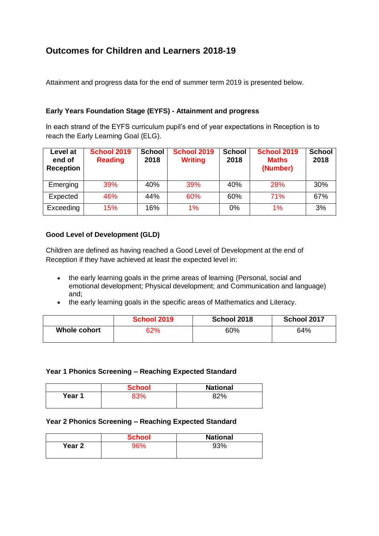# **Outcomes for Children and Learners 2018-19**

Attainment and progress data for the end of summer term 2019 is presented below.

### **Early Years Foundation Stage (EYFS) - Attainment and progress**

In each strand of the EYFS curriculum pupil's end of year expectations in Reception is to reach the Early Learning Goal (ELG).

| Level at<br>end of<br><b>Reception</b> | <b>School 2019</b><br><b>Reading</b> | <b>School</b><br>2018 | <b>School 2019</b><br><b>Writing</b> | <b>School</b><br>2018 | <b>School 2019</b><br><b>Maths</b><br>(Number) | <b>School</b><br>2018 |
|----------------------------------------|--------------------------------------|-----------------------|--------------------------------------|-----------------------|------------------------------------------------|-----------------------|
| Emerging                               | 39%                                  | 40%                   | <b>39%</b>                           | 40%                   | 28%                                            | 30%                   |
| Expected                               | 46%                                  | 44%                   | 60%                                  | 60%                   | 71%                                            | 67%                   |
| Exceeding                              | 15%                                  | 16%                   | 1%                                   | 0%                    | 1%                                             | 3%                    |

### **Good Level of Development (GLD)**

Children are defined as having reached a Good Level of Development at the end of Reception if they have achieved at least the expected level in:

- the early learning goals in the prime areas of learning (Personal, social and emotional development; Physical development; and Communication and language) and;
- the early learning goals in the specific areas of Mathematics and Literacy.

|              | <b>School 2019</b> | School 2018 | School 2017 |
|--------------|--------------------|-------------|-------------|
| Whole cohort | 62%                | 60%         | 64%         |

#### **Year 1 Phonics Screening – Reaching Expected Standard**

|        | <b>School</b> | <b>National</b> |
|--------|---------------|-----------------|
| Year 1 | 220/          | <b>32%</b>      |

### **Year 2 Phonics Screening – Reaching Expected Standard**

|                   | <b>School</b> | <b>National</b> |
|-------------------|---------------|-----------------|
| Year <sub>2</sub> |               | 93%             |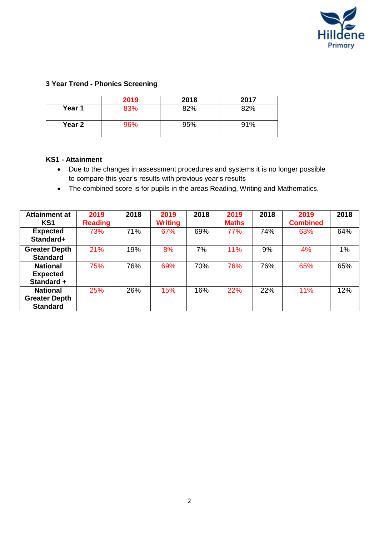

## **3 Year Trend - Phonics Screening**

|        | 2019 | 2018 | 2017 |
|--------|------|------|------|
| Year 1 | 83%  | 82%  | 82%  |
| Year 2 | 96%  | 95%  | 91%  |

### **KS1 - Attainment**

- Due to the changes in assessment procedures and systems it is no longer possible to compare this year's results with previous year's results
- The combined score is for pupils in the areas Reading, Writing and Mathematics.

| <b>Attainment at</b> | 2019           | 2018 | 2019           | 2018 | 2019         | 2018 | 2019            | 2018 |
|----------------------|----------------|------|----------------|------|--------------|------|-----------------|------|
| KS <sub>1</sub>      | <b>Reading</b> |      | <b>Writing</b> |      | <b>Maths</b> |      | <b>Combined</b> |      |
| <b>Expected</b>      | 73%            | 71%  | 67%            | 69%  | 77%          | 74%  | 63%             | 64%  |
| Standard+            |                |      |                |      |              |      |                 |      |
| <b>Greater Depth</b> | 21%            | 19%  | 8%             | 7%   | 11%          | 9%   | 4%              | 1%   |
| <b>Standard</b>      |                |      |                |      |              |      |                 |      |
| <b>National</b>      | 75%            | 76%  | 69%            | 70%  | 76%          | 76%  | 65%             | 65%  |
| <b>Expected</b>      |                |      |                |      |              |      |                 |      |
| Standard +           |                |      |                |      |              |      |                 |      |
| <b>National</b>      | 25%            | 26%  | 15%            | 16%  | 22%          | 22%  | 11%             | 12%  |
| <b>Greater Depth</b> |                |      |                |      |              |      |                 |      |
| <b>Standard</b>      |                |      |                |      |              |      |                 |      |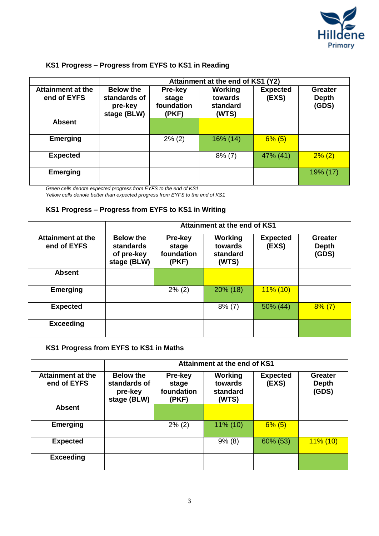

# **KS1 Progress – Progress from EYFS to KS1 in Reading**

|                                         | Attainment at the end of KS1 (Y2)                          |                                         |                                                |                          |                                         |  |  |
|-----------------------------------------|------------------------------------------------------------|-----------------------------------------|------------------------------------------------|--------------------------|-----------------------------------------|--|--|
| <b>Attainment at the</b><br>end of EYFS | <b>Below the</b><br>standards of<br>pre-key<br>stage (BLW) | Pre-key<br>stage<br>foundation<br>(PKF) | <b>Working</b><br>towards<br>standard<br>(WTS) | <b>Expected</b><br>(EXS) | <b>Greater</b><br><b>Depth</b><br>(GDS) |  |  |
| <b>Absent</b>                           |                                                            |                                         |                                                |                          |                                         |  |  |
| <b>Emerging</b>                         |                                                            | $2\%$ (2)                               | $16\%$ (14)                                    | $6\%$ (5)                |                                         |  |  |
| <b>Expected</b>                         |                                                            |                                         | $8\%$ (7)                                      | 47% (41)                 | $2\%$ (2)                               |  |  |
| <b>Emerging</b>                         |                                                            |                                         |                                                |                          | 19% (17)                                |  |  |

*Green cells denote expected progress from EYFS to the end of KS1*

*Yellow cells denote better than expected progress from EYFS to the end of KS1*

### **KS1 Progress – Progress from EYFS to KS1 in Writing**

|                                         | Attainment at the end of KS1                                      |                                         |                                                |                          |                                         |  |  |
|-----------------------------------------|-------------------------------------------------------------------|-----------------------------------------|------------------------------------------------|--------------------------|-----------------------------------------|--|--|
| <b>Attainment at the</b><br>end of EYFS | <b>Below the</b><br><b>standards</b><br>of pre-key<br>stage (BLW) | Pre-key<br>stage<br>foundation<br>(PKF) | <b>Working</b><br>towards<br>standard<br>(WTS) | <b>Expected</b><br>(EXS) | <b>Greater</b><br><b>Depth</b><br>(GDS) |  |  |
| <b>Absent</b>                           |                                                                   |                                         |                                                |                          |                                         |  |  |
| <b>Emerging</b>                         |                                                                   | $2\%$ (2)                               | 20% (18)                                       | $11\%$ (10)              |                                         |  |  |
| <b>Expected</b>                         |                                                                   |                                         | $8\%$ (7)                                      | 50% (44)                 | $8\%$ (7)                               |  |  |
| <b>Exceeding</b>                        |                                                                   |                                         |                                                |                          |                                         |  |  |

## **KS1 Progress from EYFS to KS1 in Maths**

|                                         | Attainment at the end of KS1                               |                                         |                                                |                          |                                         |  |  |
|-----------------------------------------|------------------------------------------------------------|-----------------------------------------|------------------------------------------------|--------------------------|-----------------------------------------|--|--|
| <b>Attainment at the</b><br>end of EYFS | <b>Below the</b><br>standards of<br>pre-key<br>stage (BLW) | Pre-key<br>stage<br>foundation<br>(PKF) | <b>Working</b><br>towards<br>standard<br>(WTS) | <b>Expected</b><br>(EXS) | <b>Greater</b><br><b>Depth</b><br>(GDS) |  |  |
| <b>Absent</b>                           |                                                            |                                         |                                                |                          |                                         |  |  |
| <b>Emerging</b>                         |                                                            | $2\%$ (2)                               | $11\%$ (10)                                    | $6\%$ (5)                |                                         |  |  |
| <b>Expected</b>                         |                                                            |                                         | 9% (8)                                         | 60% (53)                 | $11\%$ (10)                             |  |  |
| <b>Exceeding</b>                        |                                                            |                                         |                                                |                          |                                         |  |  |